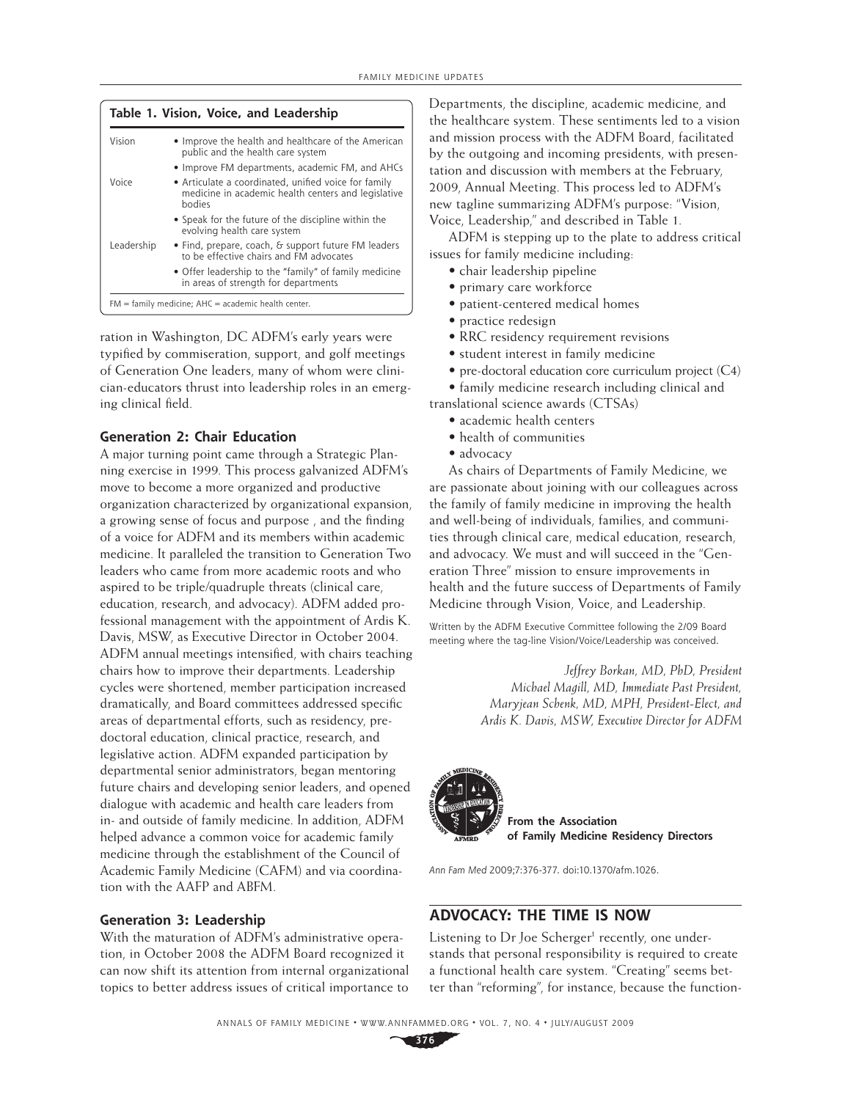| Table 1. Vision, Voice, and Leadership |                                                                                                                       |
|----------------------------------------|-----------------------------------------------------------------------------------------------------------------------|
| Vision                                 | • Improve the health and healthcare of the American<br>public and the health care system                              |
|                                        | • Improve FM departments, academic FM, and AHCs                                                                       |
| Voice                                  | • Articulate a coordinated, unified voice for family<br>medicine in academic health centers and legislative<br>hodies |
|                                        | • Speak for the future of the discipline within the<br>evolving health care system                                    |
| Leadership                             | • Find, prepare, coach, & support future FM leaders<br>to be effective chairs and FM advocates                        |
|                                        | • Offer leadership to the "family" of family medicine<br>in areas of strength for departments                         |
|                                        | $FM = family medicine; AHC = academic health center.$                                                                 |

ration in Washington, DC ADFM's early years were typified by commiseration, support, and golf meetings of Generation One leaders, many of whom were clinician-educators thrust into leadership roles in an emerging clinical field.

## **Generation 2: Chair Education**

A major turning point came through a Strategic Planning exercise in 1999. This process galvanized ADFM's move to become a more organized and productive organization characterized by organizational expansion, a growing sense of focus and purpose, and the finding of a voice for ADFM and its members within academic medicine. It paralleled the transition to Generation Two leaders who came from more academic roots and who aspired to be triple/quadruple threats (clinical care, education, research, and advocacy). ADFM added professional management with the appointment of Ardis K. Davis, MSW, as Executive Director in October 2004. ADFM annual meetings intensified, with chairs teaching chairs how to improve their departments. Leadership cycles were shortened, member participation increased dramatically, and Board committees addressed specific areas of departmental efforts, such as residency, predoctoral education, clinical practice, research, and legislative action. ADFM expanded participation by departmental senior administrators, began mentoring future chairs and developing senior leaders, and opened dialogue with academic and health care leaders from in- and outside of family medicine. In addition, ADFM helped advance a common voice for academic family medicine through the establishment of the Council of Academic Family Medicine (CAFM) and via coordination with the AAFP and ABFM.

## **Generation 3: Leadership**

With the maturation of ADFM's administrative operation, in October 2008 the ADFM Board recognized it can now shift its attention from internal organizational topics to better address issues of critical importance to

Departments, the discipline, academic medicine, and the healthcare system. These sentiments led to a vision and mission process with the ADFM Board, facilitated by the outgoing and incoming presidents, with presentation and discussion with members at the February, 2009, Annual Meeting. This process led to ADFM's new tagline summarizing ADFM's purpose: "Vision, Voice, Leadership," and described in Table 1.

ADFM is stepping up to the plate to address critical issues for family medicine including:

- chair leadership pipeline
- primary care workforce
- patient-centered medical homes
- practice redesign
- RRC residency requirement revisions
- student interest in family medicine
- pre-doctoral education core curriculum project (C4)
- family medicine research including clinical and

translational science awards (CTSAs)

- academic health centers
- health of communities
- advocacy

As chairs of Departments of Family Medicine, we are passionate about joining with our colleagues across the family of family medicine in improving the health and well-being of individuals, families, and communities through clinical care, medical education, research, and advocacy. We must and will succeed in the "Generation Three" mission to ensure improvements in health and the future success of Departments of Family Medicine through Vision, Voice, and Leadership.

Written by the ADFM Executive Committee following the 2/09 Board meeting where the tag-line Vision/Voice/Leadership was conceived.

> *Jeffrey Borkan, MD, PhD, President Michael Magill, MD, Immediate Past President, Maryjean Schenk, MD, MPH, President-Elect, and Ardis K. Davis, MSW, Executive Director for ADFM*



Ann Fam Med 2009;7:376-377. doi:10.1370/afm.1026.

## **ADVOCACY: THE TIME IS NOW**

Listening to Dr Joe Scherger<sup>1</sup> recently, one understands that personal responsibility is required to create a functional health care system. "Creating" seems better than "reforming", for instance, because the function-